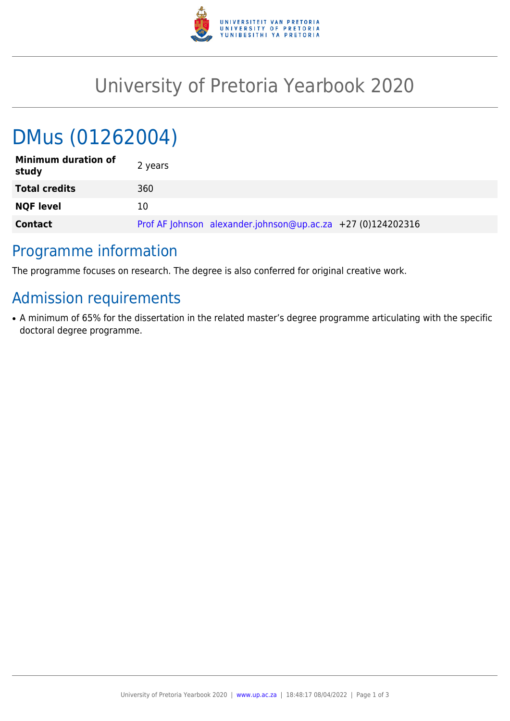

## University of Pretoria Yearbook 2020

# DMus (01262004)

| <b>Minimum duration of</b><br>study | 2 years                                                     |
|-------------------------------------|-------------------------------------------------------------|
| <b>Total credits</b>                | 360                                                         |
| <b>NQF level</b>                    | 10                                                          |
| <b>Contact</b>                      | Prof AF Johnson alexander.johnson@up.ac.za +27 (0)124202316 |

## Programme information

The programme focuses on research. The degree is also conferred for original creative work.

## Admission requirements

• A minimum of 65% for the dissertation in the related master's degree programme articulating with the specific doctoral degree programme.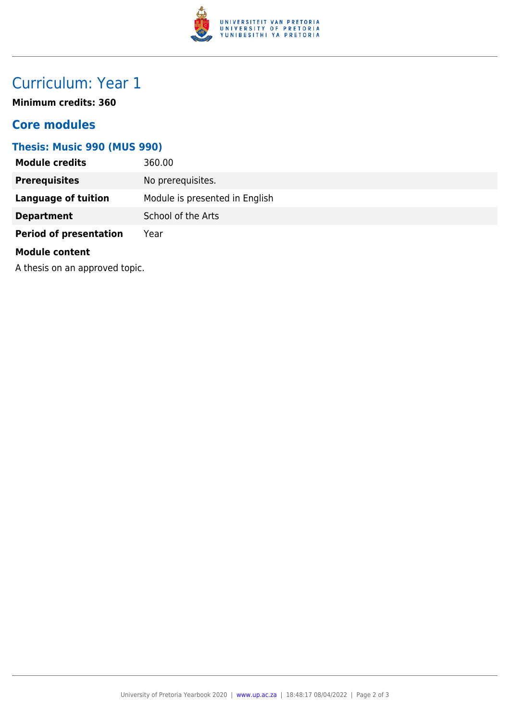

## Curriculum: Year 1

**Minimum credits: 360**

#### **Core modules**

#### **Thesis: Music 990 (MUS 990)**

| <b>Module credits</b>          | 360.00                         |
|--------------------------------|--------------------------------|
| <b>Prerequisites</b>           | No prerequisites.              |
| <b>Language of tuition</b>     | Module is presented in English |
| <b>Department</b>              | School of the Arts             |
| <b>Period of presentation</b>  | Year                           |
| <b>Module content</b>          |                                |
| A thesis on an approved topic. |                                |